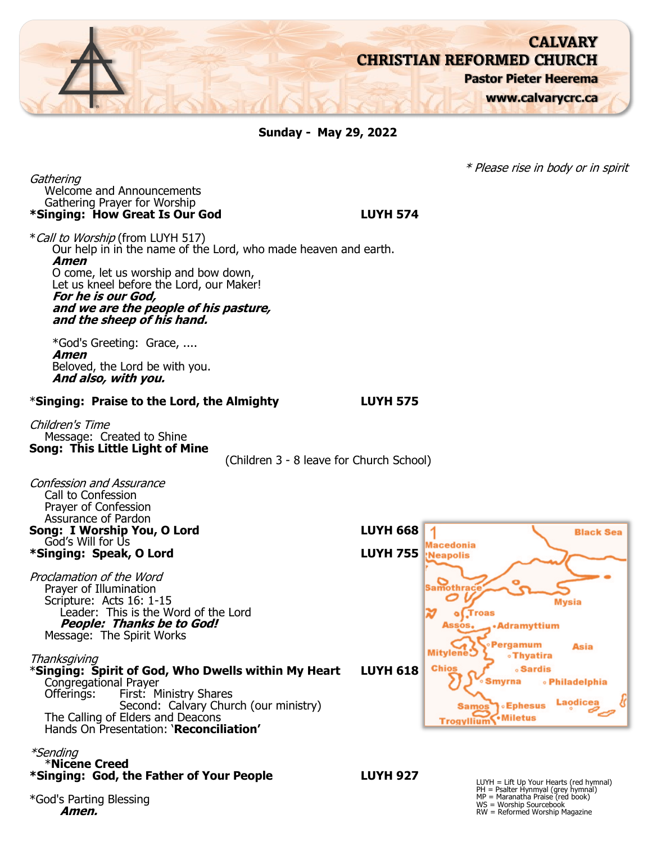

**Sunday - May 29, 2022**

**Gathering** Welcome and Announcements Gathering Prayer for Worship **\*Singing: How Great Is Our God LUYH 574**

\*Call to Worship (from LUYH 517) Our help in in the name of the Lord, who made heaven and earth. **Amen** O come, let us worship and bow down, Let us kneel before the Lord, our Maker! **For he is our God, and we are the people of his pasture, and the sheep of his hand.**

\*God's Greeting: Grace, .... **Amen** Beloved, the Lord be with you. **And also, with you.**

#### \***Singing: Praise to the Lord, the Almighty LUYH 575**

Children's Time Message: Created to Shine **Song: This Little Light of Mine**

(Children 3 - 8 leave for Church School)

| Confession and Assurance<br>Call to Confession<br>Prayer of Confession<br>Assurance of Pardon                                                                                                                                                                                                                                                                                                                                                            |                 |                                                                                                                                                                                                                                                                                                                       |
|----------------------------------------------------------------------------------------------------------------------------------------------------------------------------------------------------------------------------------------------------------------------------------------------------------------------------------------------------------------------------------------------------------------------------------------------------------|-----------------|-----------------------------------------------------------------------------------------------------------------------------------------------------------------------------------------------------------------------------------------------------------------------------------------------------------------------|
| Song: I Worship You, O Lord                                                                                                                                                                                                                                                                                                                                                                                                                              | <b>LUYH 668</b> | <b>Black Sea</b>                                                                                                                                                                                                                                                                                                      |
| God's Will for Us<br>*Singing: Speak, O Lord                                                                                                                                                                                                                                                                                                                                                                                                             | <b>LUYH 755</b> | <b>Macedonia</b><br>Neapolis                                                                                                                                                                                                                                                                                          |
| Proclamation of the Word<br>Prayer of Illumination<br>Scripture: Acts 16: 1-15<br>Leader: This is the Word of the Lord<br><b>People: Thanks be to God!</b><br>Message: The Spirit Works<br>Thanksgiving<br>*Singing: Spirit of God, Who Dwells within My Heart<br>Congregational Prayer<br>Offerings:<br>First: Ministry Shares<br>Second: Calvary Church (our ministry)<br>The Calling of Elders and Deacons<br>Hands On Presentation: 'Reconciliation' | <b>LUYH 618</b> | <b>Samothrace</b><br><b>Mysia</b><br>M<br>Troas<br>Assos.<br><b>•Adramyttium</b><br><b>Pergamum</b><br><b>Asia</b><br><b>Mitylene</b><br><b>•Thyatira</b><br><b>Chios</b><br><b>Sardis</b><br><b>Smyrna</b><br><b>• Philadelphia</b><br><b>Laodice:</b><br><b>Samos</b> > Ephesus<br>Trogyllium <sup>V</sup> *Miletus |
| <i>*Sending</i><br><b>*Nicene Creed</b><br>*Singing: God, the Father of Your People                                                                                                                                                                                                                                                                                                                                                                      | <b>LUYH 927</b> | $LUYH = Lift Up Your Hearts (red hymnal)$                                                                                                                                                                                                                                                                             |
| *God's Parting Blessing<br>Amen.                                                                                                                                                                                                                                                                                                                                                                                                                         |                 | PH = Psalter Hynmyal (grey hymnál)<br>MP = Maranatha Praise (red book)<br>WS = Worship Sourcebook<br>RW = Reformed Worship Magazine                                                                                                                                                                                   |

\* Please rise in body or in spirit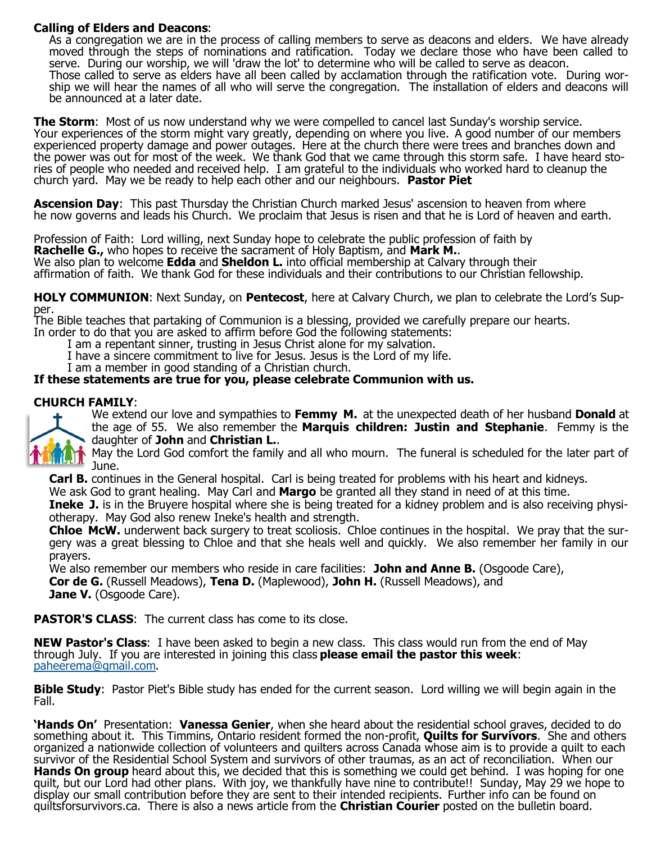## <span id="page-1-0"></span>**Calling of Elders and Deacons**:

As a congregation we are in the process of calling members to serve as deacons and elders. We have already moved through the steps of nominations and ratification. Today we declare those who have been called to serve. During our worship, we will 'draw the lot' to determine who will be called to serve as deacon. Those called to serve as elders have all been called by acclamation through the ratification vote. During worship we will hear the names of all who will serve the congregation. The installation of elders and deacons will be announced at a later date.

**The Storm**: Most of us now understand why we were compelled to cancel last Sunday's worship service. Your experiences of the storm might vary greatly, depending on where you live. A good number of our members experienced property damage and power outages. Here at the church there were trees and branches down and the power was out for most of the week. We thank God that we came through this storm safe. I have heard stories of people who needed and received help. I am grateful to the individuals who worked hard to cleanup the church yard. May we be ready to help each other and our neighbours. **Pastor Piet**

**Ascension Day**: This past Thursday the Christian Church marked Jesus' ascension to heaven from where he now governs and leads his Church. We proclaim that Jesus is risen and that he is Lord of heaven and earth.

Profession of Faith: Lord willing, next Sunday hope to celebrate the public profession of faith by **Rachelle G.,** who hopes to receive the sacrament of Holy Baptism, and **Mark M.**. We also plan to welcome **Edda** and **Sheldon L.** into official membership at Calvary through their affirmation of faith. We thank God for these individuals and their contributions to our Christian fellowship.

**HOLY COMMUNION**: Next Sunday, on **Pentecost**, here at Calvary Church, we plan to celebrate the Lord's Supper.

The Bible teaches that partaking of Communion is a blessing, provided we carefully prepare our hearts.

In order to do that you are asked to affirm before God the following statements: I am a repentant sinner, trusting in Jesus Christ alone for my salvation.

I have a sincere commitment to live for Jesus. Jesus is the Lord of my life.

I am a member in good standing of a Christian church.

### **If these statements are true for you, please celebrate Communion with us.**

### **CHURCH FAMILY**:



We extend our love and sympathies to **Femmy M.** at the unexpected death of her husband **Donald** at the age of 55. We also remember the **Marquis children: Justin and Stephanie**. Femmy is the daughter of **John** and **Christian L.**.

May the Lord God comfort the family and all who mourn. The funeral is scheduled for the later part of June.

**Carl B.** continues in the General hospital. Carl is being treated for problems with his heart and kidneys.

We ask God to grant healing. May Carl and **Margo** be granted all they stand in need of at this time.

**Ineke J.** is in the Bruyere hospital where she is being treated for a kidney problem and is also receiving physiotherapy. May God also renew Ineke's health and strength.

**Chloe McW.** underwent back surgery to treat scoliosis. Chloe continues in the hospital. We pray that the surgery was a great blessing to Chloe and that she heals well and quickly. We also remember her family in our prayers.

We also remember our members who reside in care facilities: **John and Anne B.** (Osgoode Care), **Cor de G.** (Russell Meadows), **Tena D.** (Maplewood), **John H.** (Russell Meadows), and

**Jane V.** (Osgoode Care).

**PASTOR'S CLASS:** The current class has come to its close.

**NEW Pastor's Class**: I have been asked to begin a new class. This class would run from the end of May through July. If you are interested in joining this class **please email the pastor this week**: [pahe](#page-1-0)[erema@gmail.com.](mailto:heerema@gmail.com)

**Bible Study**: Pastor Piet's Bible study has ended for the current season. Lord willing we will begin again in the Fall.

**'Hands On'** Presentation: **Vanessa Genier**, when she heard about the residential school graves, decided to do something about it. This Timmins, Ontario resident formed the non-profit, **Quilts for Survivors**. She and others organized a nationwide collection of volunteers and quilters across Canada whose aim is to provide a quilt to each survivor of the Residential School System and survivors of other traumas, as an act of reconciliation. When our **Hands On group** heard about this, we decided that this is something we could get behind. I was hoping for one quilt, but our Lord had other plans. With joy, we thankfully have nine to contribute!! Sunday, May 29 we hope to display our small contribution before they are sent to their intended recipients. Further info can be found on quiltsforsurvivors.ca. There is also a news article from the **Christian Courier** posted on the bulletin board.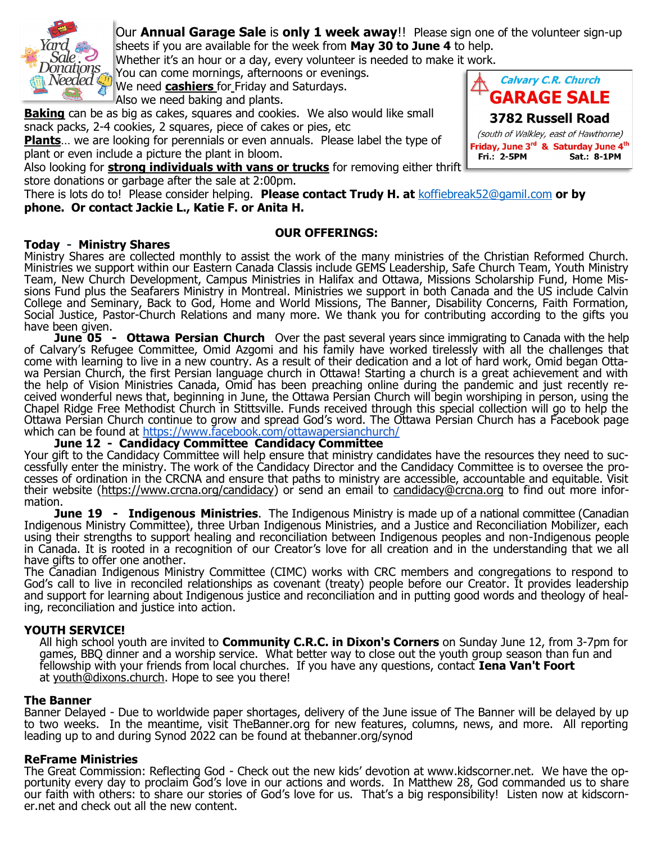

Our **Annual Garage Sale** is **only 1 week away**!! Please sign one of the volunteer sign-up sheets if you are available for the week from **May 30 to June 4** to help.

Whether it's an hour or a day, every volunteer is needed to make it work.

You can come mornings, afternoons or evenings.

We need **cashiers** for Friday and Saturdays. Also we need baking and plants.

**Baking** can be as big as cakes, squares and cookies. We also would like small snack packs, 2-4 cookies, 2 squares, piece of cakes or pies, etc

**Plants**... we are looking for perennials or even annuals. Please label the type of plant or even include a picture the plant in bloom.

Also looking for **strong individuals with vans or trucks** for removing either thrift store donations or garbage after the sale at 2:00pm.

There is lots do to! Please consider helping. **Please contact Trudy H. at** [koffiebreak52@gamil.com](mailto:koffiebreak52@gamil.com) **or by phone. Or contact Jackie L., Katie F. or Anita H.**

# **OUR OFFERINGS:**

## **Today - Ministry Shares**

Ministry Shares are collected monthly to assist the work of the many ministries of the Christian Reformed Church. Ministries we support within our Eastern Canada Classis include GEMS Leadership, Safe Church Team, Youth Ministry Team, New Church Development, Campus Ministries in Halifax and Ottawa, Missions Scholarship Fund, Home Missions Fund plus the Seafarers Ministry in Montreal. Ministries we support in both Canada and the US include Calvin College and Seminary, Back to God, Home and World Missions, The Banner, Disability Concerns, Faith Formation, Social Justice, Pastor-Church Relations and many more. We thank you for contributing according to the gifts you have been given.

**June 05 - Ottawa Persian Church** Over the past several years since immigrating to Canada with the help of Calvary's Refugee Committee, Omid Azgomi and his family have worked tirelessly with all the challenges that come with learning to live in a new country. As a result of their dedication and a lot of hard work, Omid began Ottawa Persian Church, the first Persian language church in Ottawa! Starting a church is a great achievement and with the help of Vision Ministries Canada, Omid has been preaching online during the pandemic and just recently received wonderful news that, beginning in June, the Ottawa Persian Church will begin worshiping in person, using the Chapel Ridge Free Methodist Church in Stittsville. Funds received through this special collection will go to help the Ottawa Persian Church continue to grow and spread God's word. The Ottawa Persian Church has a Facebook page which can be found at<https://www.facebook.com/ottawapersianchurch/>

### **June 12 - Candidacy Committee Candidacy Committee**

Your gift to the Candidacy Committee will help ensure that ministry candidates have the resources they need to successfully enter the ministry. The work of the Candidacy Director and the Candidacy Committee is to oversee the processes of ordination in the CRCNA and ensure that paths to ministry are accessible, accountable and equitable. Visit their website [\(https://www.crcna.org/candidacy\)](https://www.crcna.org/candidacy) or send an email to [candidacy@crcna.org](mailto:candidacy@crcna.org) to find out more information.

**June 19 - Indigenous Ministries**. The Indigenous Ministry is made up of a national committee (Canadian Indigenous Ministry Committee), three Urban Indigenous Ministries, and a Justice and Reconciliation Mobilizer, each using their strengths to support healing and reconciliation between Indigenous peoples and non-Indigenous people in Canada. It is rooted in a recognition of our Creator's love for all creation and in the understanding that we all have gifts to offer one another.

The Canadian Indigenous Ministry Committee (CIMC) works with CRC members and congregations to respond to God's call to live in reconciled relationships as covenant (treaty) people before our Creator. It provides leadership and support for learning about Indigenous justice and reconciliation and in putting good words and theology of healing, reconciliation and justice into action.

### **YOUTH SERVICE!**

All high school youth are invited to **Community C.R.C. in Dixon's Corners** on Sunday June 12, from 3-7pm for games, BBQ dinner and a worship service. What better way to close out the youth group season than fun and fellowship with your friends from local churches. If you have any questions, contact **Iena Van't Foort**  at [youth@dixons.church.](mailto:youth@dixons.church) Hope to see you there!

### **The Banner**

Banner Delayed - Due to worldwide paper shortages, delivery of the June issue of The Banner will be delayed by up to two weeks. In the meantime, visit TheBanner.org for new features, columns, news, and more. All reporting leading up to and during Synod 2022 can be found at thebanner.org/synod

### **ReFrame Ministries**

The Great Commission: Reflecting God - Check out the new kids' devotion at www.kidscorner.net. We have the opportunity every day to proclaim God's love in our actions and words. In Matthew 28, God commanded us to share our faith with others: to share our stories of God's love for us. That's a big responsibility! Listen now at kidscorner.net and check out all the new content.